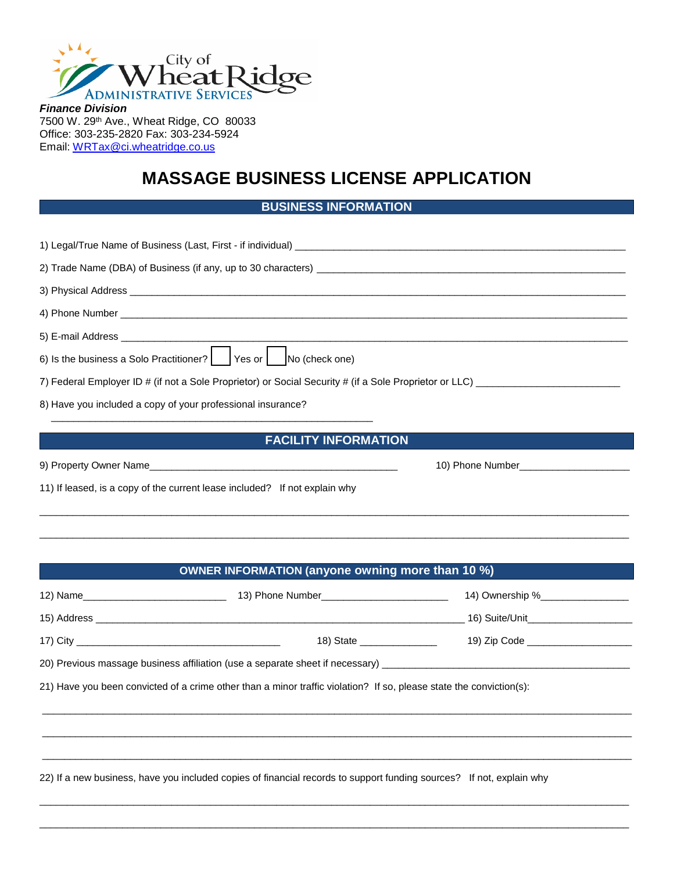

*Finance Division* 7500 W. 29th Ave., Wheat Ridge, CO 80033 Office: 303-235-2820 Fax: 303-234-5924 Email: [WRTax@ci.wheatridge.co.us](mailto:WRTax@ci.wheatridge.co.us) 

## **MASSAGE BUSINESS LICENSE APPLICATION**

| <b>BUSINESS INFORMATION</b> |
|-----------------------------|
|-----------------------------|

|  | 8) Have you included a copy of your professional insurance?                                                                                                    |  |
|--|----------------------------------------------------------------------------------------------------------------------------------------------------------------|--|
|  | <b>FACILITY INFORMATION</b>                                                                                                                                    |  |
|  |                                                                                                                                                                |  |
|  | 11) If leased, is a copy of the current lease included? If not explain why<br>,我们也不能会在这里,我们的人们就会不能会在这里,我们也不能会不能会不能会不能会不能会不能会不能会。""我们的人们,我们也不能会不能会不能会不能会不能会不能会不 |  |
|  |                                                                                                                                                                |  |
|  |                                                                                                                                                                |  |
|  | OWNER INFORMATION (anyone owning more than 10 %)                                                                                                               |  |
|  |                                                                                                                                                                |  |
|  |                                                                                                                                                                |  |

17) City \_\_\_\_\_\_\_\_\_\_\_\_\_\_\_\_\_\_\_\_\_\_\_\_\_\_\_\_\_\_\_\_\_\_\_\_\_ 18) State \_\_\_\_\_\_\_\_\_\_\_\_\_\_ 19) Zip Code \_\_\_\_\_\_\_\_\_\_\_\_\_\_\_\_\_\_\_

\_\_\_\_\_\_\_\_\_\_\_\_\_\_\_\_\_\_\_\_\_\_\_\_\_\_\_\_\_\_\_\_\_\_\_\_\_\_\_\_\_\_\_\_\_\_\_\_\_\_\_\_\_\_\_\_\_\_\_\_\_\_\_\_\_\_\_\_\_\_\_\_\_\_\_\_\_\_\_\_\_\_\_\_\_\_\_\_\_\_\_\_\_\_\_\_\_\_\_\_\_\_\_\_\_\_\_

\_\_\_\_\_\_\_\_\_\_\_\_\_\_\_\_\_\_\_\_\_\_\_\_\_\_\_\_\_\_\_\_\_\_\_\_\_\_\_\_\_\_\_\_\_\_\_\_\_\_\_\_\_\_\_\_\_\_\_\_\_\_\_\_\_\_\_\_\_\_\_\_\_\_\_\_\_\_\_\_\_\_\_\_\_\_\_\_\_\_\_\_\_\_\_\_\_\_\_\_\_\_\_\_\_\_\_

\_\_\_\_\_\_\_\_\_\_\_\_\_\_\_\_\_\_\_\_\_\_\_\_\_\_\_\_\_\_\_\_\_\_\_\_\_\_\_\_\_\_\_\_\_\_\_\_\_\_\_\_\_\_\_\_\_\_\_\_\_\_\_\_\_\_\_\_\_\_\_\_\_\_\_\_\_\_\_\_\_\_\_\_\_\_\_\_\_\_\_\_\_\_\_\_\_\_\_\_\_\_\_\_\_\_\_

\_\_\_\_\_\_\_\_\_\_\_\_\_\_\_\_\_\_\_\_\_\_\_\_\_\_\_\_\_\_\_\_\_\_\_\_\_\_\_\_\_\_\_\_\_\_\_\_\_\_\_\_\_\_\_\_\_\_\_\_\_\_\_\_\_\_\_\_\_\_\_\_\_\_\_\_\_\_\_\_\_\_\_\_\_\_\_\_\_\_\_\_\_\_\_\_\_\_\_\_\_\_\_\_\_\_\_

\_\_\_\_\_\_\_\_\_\_\_\_\_\_\_\_\_\_\_\_\_\_\_\_\_\_\_\_\_\_\_\_\_\_\_\_\_\_\_\_\_\_\_\_\_\_\_\_\_\_\_\_\_\_\_\_\_\_\_\_\_\_\_\_\_\_\_\_\_\_\_\_\_\_\_\_\_\_\_\_\_\_\_\_\_\_\_\_\_\_\_\_\_\_\_\_\_\_\_\_\_\_\_\_\_\_\_

20) Previous massage business affiliation (use a separate sheet if necessary) \_\_\_\_

21) Have you been convicted of a crime other than a minor traffic violation? If so, please state the conviction(s):

22) If a new business, have you included copies of financial records to support funding sources? If not, explain why